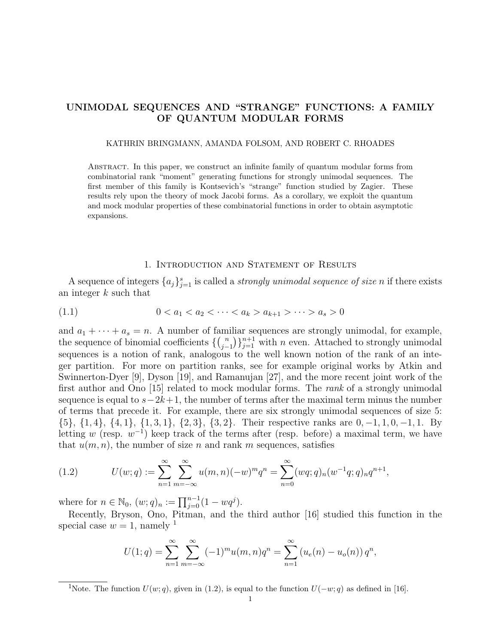# UNIMODAL SEQUENCES AND "STRANGE" FUNCTIONS: A FAMILY OF QUANTUM MODULAR FORMS

#### KATHRIN BRINGMANN, AMANDA FOLSOM, AND ROBERT C. RHOADES

Abstract. In this paper, we construct an infinite family of quantum modular forms from combinatorial rank "moment" generating functions for strongly unimodal sequences. The first member of this family is Kontsevich's "strange" function studied by Zagier. These results rely upon the theory of mock Jacobi forms. As a corollary, we exploit the quantum and mock modular properties of these combinatorial functions in order to obtain asymptotic expansions.

## 1. Introduction and Statement of Results

A sequence of integers  $\{a_j\}_{j=1}^s$  is called a *strongly unimodal sequence of size n* if there exists an integer k such that

$$
(1.1) \t 0 < a_1 < a_2 < \cdots < a_k > a_{k+1} > \cdots > a_s > 0
$$

and  $a_1 + \cdots + a_s = n$ . A number of familiar sequences are strongly unimodal, for example, the sequence of binomial coefficients  $\{ \binom{n}{i} \}$  $\binom{n}{j-1}\}_{j=1}^{n+1}$  with n even. Attached to strongly unimodal sequences is a notion of rank, analogous to the well known notion of the rank of an integer partition. For more on partition ranks, see for example original works by Atkin and Swinnerton-Dyer [9], Dyson [19], and Ramanujan [27], and the more recent joint work of the first author and Ono [15] related to mock modular forms. The *rank* of a strongly unimodal sequence is equal to  $s-2k+1$ , the number of terms after the maximal term minus the number of terms that precede it. For example, there are six strongly unimodal sequences of size 5: {5}, {1, 4}, {4, 1}, {1, 3, 1}, {2, 3}, {3, 2}. Their respective ranks are 0, −1, 1, 0, −1, 1. By letting w (resp.  $w^{-1}$ ) keep track of the terms after (resp. before) a maximal term, we have that  $u(m, n)$ , the number of size n and rank m sequences, satisfies

(1.2) 
$$
U(w;q) := \sum_{n=1}^{\infty} \sum_{m=-\infty}^{\infty} u(m,n)(-w)^m q^n = \sum_{n=0}^{\infty} (wq;q)_n (w^{-1}q;q)_n q^{n+1},
$$

where for  $n \in \mathbb{N}_0$ ,  $(w; q)_n := \prod_{j=0}^{n-1} (1 - wq^j)$ .

Recently, Bryson, Ono, Pitman, and the third author [16] studied this function in the special case  $w = 1$ , namely <sup>1</sup>

$$
U(1;q) = \sum_{n=1}^{\infty} \sum_{m=-\infty}^{\infty} (-1)^m u(m,n) q^n = \sum_{n=1}^{\infty} (u_e(n) - u_o(n)) q^n,
$$

<sup>1</sup>Note. The function  $U(w; q)$ , given in (1.2), is equal to the function  $U(-w; q)$  as defined in [16].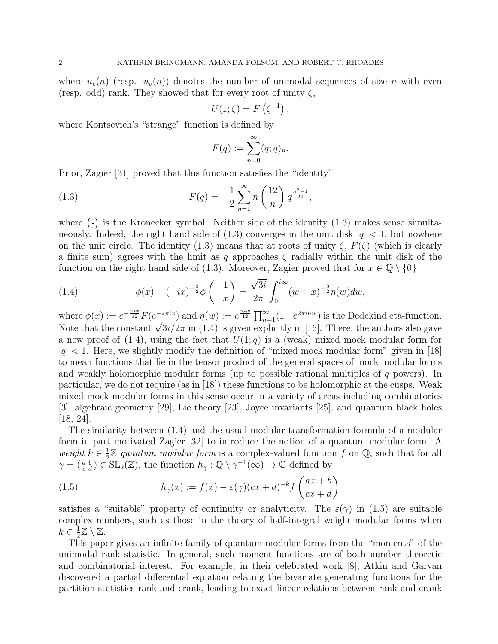where  $u_e(n)$  (resp.  $u_o(n)$ ) denotes the number of unimodal sequences of size n with even (resp. odd) rank. They showed that for every root of unity  $\zeta$ ,

$$
U(1;\zeta) = F\left(\zeta^{-1}\right),\,
$$

where Kontsevich's "strange" function is defined by

$$
F(q) := \sum_{n=0}^{\infty} (q;q)_n.
$$

Prior, Zagier [31] proved that this function satisfies the "identity"

(1.3) 
$$
F(q) = -\frac{1}{2} \sum_{n=1}^{\infty} n \left(\frac{12}{n}\right) q^{\frac{n^2-1}{24}},
$$

where  $(\frac{1}{2})$ · is the Kronecker symbol. Neither side of the identity (1.3) makes sense simultaneously. Indeed, the right hand side of  $(1.3)$  converges in the unit disk  $|q| < 1$ , but nowhere on the unit circle. The identity (1.3) means that at roots of unity  $\zeta$ ,  $F(\zeta)$  (which is clearly a finite sum) agrees with the limit as q approaches  $\zeta$  radially within the unit disk of the function on the right hand side of (1.3). Moreover, Zagier proved that for  $x \in \mathbb{Q} \setminus \{0\}$ 

(1.4) 
$$
\phi(x) + (-ix)^{-\frac{3}{2}} \phi\left(-\frac{1}{x}\right) = \frac{\sqrt{3i}}{2\pi} \int_0^{i\infty} (w+x)^{-\frac{3}{2}} \eta(w) dw,
$$

where  $\phi(x) := e^{-\frac{\pi i x}{12}} F(e^{-2\pi i x})$  and  $\eta(w) := e^{\frac{\pi i w}{12}} \prod_{n=1}^{\infty} (1 - e^{2\pi i n w})$  is the Dedekind eta-function. where  $\varphi(x) := e^{-x^2} F(e^{-x^2})$  and  $\eta(w) := e^{-x^2} \prod_{n=1}^{\infty} (1-e^{-x^2})$  is the Dedekthic eta-function.<br>Note that the constant  $\sqrt{3i}/2\pi$  in (1.4) is given explicitly in [16]. There, the authors also gave a new proof of  $(1.4)$ , using the fact that  $U(1; q)$  is a (weak) mixed mock modular form for  $|q|$  < 1. Here, we slightly modify the definition of "mixed mock modular form" given in [18] to mean functions that lie in the tensor product of the general spaces of mock modular forms and weakly holomorphic modular forms (up to possible rational multiples of  $q$  powers). In particular, we do not require (as in [18]) these functions to be holomorphic at the cusps. Weak mixed mock modular forms in this sense occur in a variety of areas including combinatorics [3], algebraic geometry [29], Lie theory [23], Joyce invariants [25], and quantum black holes  $[18, 24]$ .

The similarity between (1.4) and the usual modular transformation formula of a modular form in part motivated Zagier [32] to introduce the notion of a quantum modular form. A weight  $k \in \frac{1}{2}$  $\frac{1}{2}\mathbb{Z}$  quantum modular form is a complex-valued function f on Q, such that for all  $\gamma = \begin{pmatrix} a & b \\ c & d \end{pmatrix} \in SL_2(\mathbb{Z})$ , the function  $h_{\gamma}: \mathbb{Q} \setminus \gamma^{-1}(\infty) \to \mathbb{C}$  defined by

(1.5) 
$$
h_{\gamma}(x) := f(x) - \varepsilon(\gamma)(cx + d)^{-k} f\left(\frac{ax + b}{cx + d}\right)
$$

satisfies a "suitable" property of continuity or analyticity. The  $\varepsilon(\gamma)$  in (1.5) are suitable complex numbers, such as those in the theory of half-integral weight modular forms when  $k \in \frac{1}{2}$  $\frac{1}{2}\mathbb{Z}\setminus\mathbb{Z}.$ 

This paper gives an infinite family of quantum modular forms from the "moments" of the unimodal rank statistic. In general, such moment functions are of both number theoretic and combinatorial interest. For example, in their celebrated work [8], Atkin and Garvan discovered a partial differential equation relating the bivariate generating functions for the partition statistics rank and crank, leading to exact linear relations between rank and crank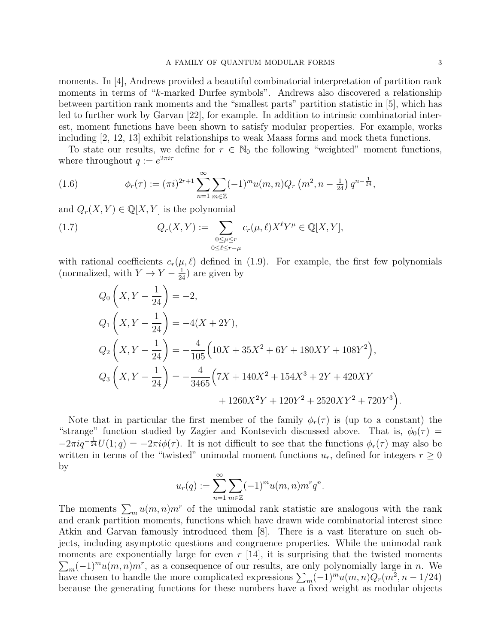moments. In [4], Andrews provided a beautiful combinatorial interpretation of partition rank moments in terms of "k-marked Durfee symbols". Andrews also discovered a relationship between partition rank moments and the "smallest parts" partition statistic in [5], which has led to further work by Garvan [22], for example. In addition to intrinsic combinatorial interest, moment functions have been shown to satisfy modular properties. For example, works including [2, 12, 13] exhibit relationships to weak Maass forms and mock theta functions.

To state our results, we define for  $r \in \mathbb{N}_0$  the following "weighted" moment functions, where throughout  $q := e^{2\pi i \tau}$ 

(1.6) 
$$
\phi_r(\tau) := (\pi i)^{2r+1} \sum_{n=1}^{\infty} \sum_{m \in \mathbb{Z}} (-1)^m u(m,n) Q_r(m^2, n - \frac{1}{24}) q^{n - \frac{1}{24}},
$$

and  $Q_r(X, Y) \in \mathbb{Q}[X, Y]$  is the polynomial

(1.7) 
$$
Q_r(X,Y) := \sum_{\substack{0 \le \mu \le r \\ 0 \le \ell \le r-\mu}} c_r(\mu,\ell) X^{\ell} Y^{\mu} \in \mathbb{Q}[X,Y],
$$

with rational coefficients  $c_r(\mu, \ell)$  defined in (1.9). For example, the first few polynomials (normalized, with  $Y \to Y - \frac{1}{24}$ ) are given by

$$
Q_0\n\left(X, Y - \frac{1}{24}\right) = -2,
$$
\n
$$
Q_1\n\left(X, Y - \frac{1}{24}\right) = -4(X + 2Y),
$$
\n
$$
Q_2\n\left(X, Y - \frac{1}{24}\right) = -\frac{4}{105}\left(10X + 35X^2 + 6Y + 180XY + 108Y^2\right),
$$
\n
$$
Q_3\n\left(X, Y - \frac{1}{24}\right) = -\frac{4}{3465}\left(7X + 140X^2 + 154X^3 + 2Y + 420XY + 1260X^2Y + 120Y^2 + 2520XY^2 + 720Y^3\right).
$$

Note that in particular the first member of the family  $\phi_r(\tau)$  is (up to a constant) the "strange" function studied by Zagier and Kontsevich discussed above. That is,  $\phi_0(\tau)$  =  $-2\pi i q^{-\frac{1}{24}}U(1;q) = -2\pi i\phi(\tau)$ . It is not difficult to see that the functions  $\phi_r(\tau)$  may also be written in terms of the "twisted" unimodal moment functions  $u_r$ , defined for integers  $r \geq 0$ by

$$
u_r(q) := \sum_{n=1}^{\infty} \sum_{m \in \mathbb{Z}} (-1)^m u(m,n) m^r q^n.
$$

The moments  $\sum_m u(m,n)m^r$  of the unimodal rank statistic are analogous with the rank and crank partition moments, functions which have drawn wide combinatorial interest since Atkin and Garvan famously introduced them [8]. There is a vast literature on such objects, including asymptotic questions and congruence properties. While the unimodal rank moments are exponentially large for even  $r$  [14], it is surprising that the twisted moments  $\sum_{m}(-1)^{m}u(m,n)m^{r}$ , as a consequence of our results, are only polynomially large in n. We have chosen to handle the more complicated expressions  $\sum_{m}(-1)^{m}u(m,n)Q_{r}(m^{2},n-1/24)$ because the generating functions for these numbers have a fixed weight as modular objects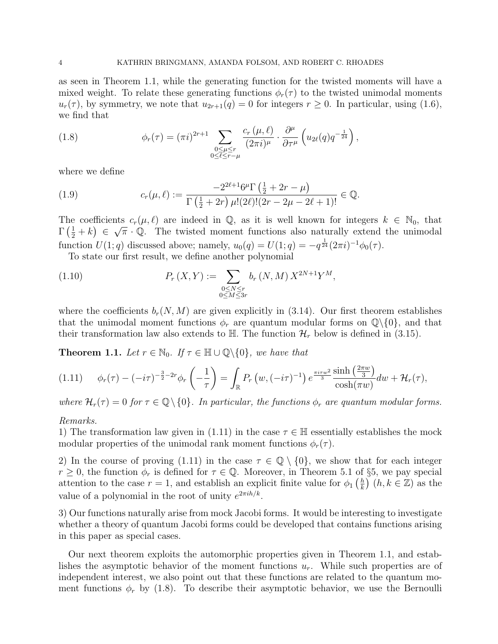as seen in Theorem 1.1, while the generating function for the twisted moments will have a mixed weight. To relate these generating functions  $\phi_r(\tau)$  to the twisted unimodal moments  $u_r(\tau)$ , by symmetry, we note that  $u_{2r+1}(q) = 0$  for integers  $r \geq 0$ . In particular, using (1.6), we find that

(1.8) 
$$
\phi_r(\tau) = (\pi i)^{2r+1} \sum_{\substack{0 \le \mu \le r \\ 0 \le \ell \le r-\mu}} \frac{c_r(\mu,\ell)}{(2\pi i)^{\mu}} \cdot \frac{\partial^{\mu}}{\partial \tau^{\mu}} \left( u_{2\ell}(q) q^{-\frac{1}{24}} \right),
$$

where we define

(1.9) 
$$
c_r(\mu,\ell) := \frac{-2^{2\ell+1}6^{\mu}\Gamma\left(\frac{1}{2} + 2r - \mu\right)}{\Gamma\left(\frac{1}{2} + 2r\right)\mu!(2\ell)!(2r - 2\mu - 2\ell + 1)!} \in \mathbb{Q}.
$$

The coefficients  $c_r(\mu, \ell)$  are indeed in  $\mathbb{Q}$ , as it is well known for integers  $k \in \mathbb{N}_0$ , that  $\Gamma\left(\frac{1}{2}+k\right) \in \sqrt{\pi} \cdot \mathbb{Q}$ . The twisted moment functions also naturally extend the unimodal function  $U(1; q)$  discussed above; namely,  $u_0(q) = U(1; q) = -q^{\frac{1}{24}} (2\pi i)^{-1} \phi_0(\tau)$ .

To state our first result, we define another polynomial

(1.10) 
$$
P_r(X,Y) := \sum_{\substack{0 \le N \le r \\ 0 \le M \le 3r}} b_r(N,M) X^{2N+1} Y^M,
$$

where the coefficients  $b_r(N, M)$  are given explicitly in (3.14). Our first theorem establishes that the unimodal moment functions  $\phi_r$  are quantum modular forms on  $\mathbb{Q}\setminus\{0\}$ , and that their transformation law also extends to  $\mathbb{H}$ . The function  $\mathcal{H}_r$  below is defined in (3.15).

**Theorem 1.1.** Let  $r \in \mathbb{N}_0$ . If  $\tau \in \mathbb{H} \cup \mathbb{Q} \setminus \{0\}$ , we have that

$$
(1.11) \qquad \phi_r(\tau) - (-i\tau)^{-\frac{3}{2}-2r} \phi_r\left(-\frac{1}{\tau}\right) = \int_{\mathbb{R}} P_r\left(w, (-i\tau)^{-1}\right) e^{\frac{\pi i \tau w^2}{3}} \frac{\sinh\left(\frac{2\pi w}{3}\right)}{\cosh(\pi w)} dw + \mathcal{H}_r(\tau),
$$

where  $\mathcal{H}_r(\tau) = 0$  for  $\tau \in \mathbb{Q} \setminus \{0\}$ . In particular, the functions  $\phi_r$  are quantum modular forms.

#### Remarks.

1) The transformation law given in (1.11) in the case  $\tau \in \mathbb{H}$  essentially establishes the mock modular properties of the unimodal rank moment functions  $\phi_r(\tau)$ .

2) In the course of proving (1.11) in the case  $\tau \in \mathbb{Q} \setminus \{0\}$ , we show that for each integer  $r \geq 0$ , the function  $\phi_r$  is defined for  $\tau \in \mathbb{Q}$ . Moreover, in Theorem 5.1 of §5, we pay special attention to the case  $r = 1$ , and establish an explicit finite value for  $\phi_1\left(\frac{h}{k}\right)$  $\left(\frac{h}{k}\right)$   $(h, k \in \mathbb{Z})$  as the value of a polynomial in the root of unity  $e^{2\pi i h/k}$ .

3) Our functions naturally arise from mock Jacobi forms. It would be interesting to investigate whether a theory of quantum Jacobi forms could be developed that contains functions arising in this paper as special cases.

Our next theorem exploits the automorphic properties given in Theorem 1.1, and establishes the asymptotic behavior of the moment functions  $u_r$ . While such properties are of independent interest, we also point out that these functions are related to the quantum moment functions  $\phi_r$  by (1.8). To describe their asymptotic behavior, we use the Bernoulli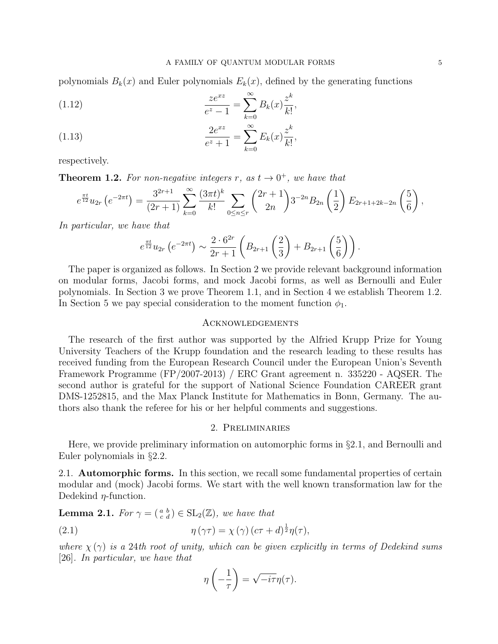polynomials  $B_k(x)$  and Euler polynomials  $E_k(x)$ , defined by the generating functions

(1.12) 
$$
\frac{ze^{xz}}{e^z - 1} = \sum_{k=0}^{\infty} B_k(x) \frac{z^k}{k!},
$$

$$
2e^{xz} \approx \frac{\infty}{e^z} e^{ik}
$$

(1.13) 
$$
\frac{2e^{xz}}{e^z + 1} = \sum_{k=0}^{\infty} E_k(x) \frac{z^k}{k!},
$$

respectively.

**Theorem 1.2.** For non-negative integers r, as  $t \to 0^+$ , we have that

$$
e^{\frac{\pi t}{12}}u_{2r}\left(e^{-2\pi t}\right)=\frac{3^{2r+1}}{(2r+1)}\sum_{k=0}^{\infty}\frac{(3\pi t)^k}{k!}\sum_{0\leq n\leq r}\binom{2r+1}{2n}3^{-2n}B_{2n}\left(\frac{1}{2}\right)E_{2r+1+2k-2n}\left(\frac{5}{6}\right),
$$

In particular, we have that

$$
e^{\frac{\pi t}{12}}u_{2r}\left(e^{-2\pi t}\right) \sim \frac{2\cdot 6^{2r}}{2r+1}\left(B_{2r+1}\left(\frac{2}{3}\right)+B_{2r+1}\left(\frac{5}{6}\right)\right).
$$

The paper is organized as follows. In Section 2 we provide relevant background information on modular forms, Jacobi forms, and mock Jacobi forms, as well as Bernoulli and Euler polynomials. In Section 3 we prove Theorem 1.1, and in Section 4 we establish Theorem 1.2. In Section 5 we pay special consideration to the moment function  $\phi_1$ .

#### Acknowledgements

The research of the first author was supported by the Alfried Krupp Prize for Young University Teachers of the Krupp foundation and the research leading to these results has received funding from the European Research Council under the European Union's Seventh Framework Programme (FP/2007-2013) / ERC Grant agreement n. 335220 - AQSER. The second author is grateful for the support of National Science Foundation CAREER grant DMS-1252815, and the Max Planck Institute for Mathematics in Bonn, Germany. The authors also thank the referee for his or her helpful comments and suggestions.

## 2. Preliminaries

Here, we provide preliminary information on automorphic forms in §2.1, and Bernoulli and Euler polynomials in §2.2.

2.1. Automorphic forms. In this section, we recall some fundamental properties of certain modular and (mock) Jacobi forms. We start with the well known transformation law for the Dedekind  $\eta$ -function.

**Lemma 2.1.** For  $\gamma = \begin{pmatrix} a & b \\ c & d \end{pmatrix} \in SL_2(\mathbb{Z})$ , we have that

(2.1) 
$$
\eta(\gamma \tau) = \chi(\gamma) (c\tau + d)^{\frac{1}{2}} \eta(\tau),
$$

where  $\chi(\gamma)$  is a 24th root of unity, which can be given explicitly in terms of Dedekind sums [26]. In particular, we have that

$$
\eta\left(-\frac{1}{\tau}\right) = \sqrt{-i\tau}\eta(\tau).
$$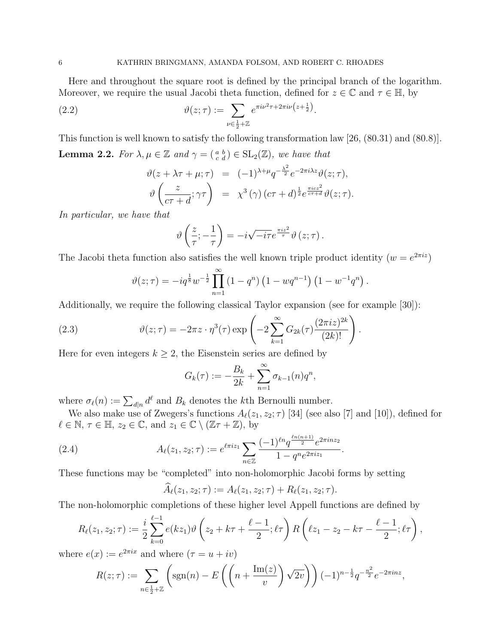Here and throughout the square root is defined by the principal branch of the logarithm. Moreover, we require the usual Jacobi theta function, defined for  $z \in \mathbb{C}$  and  $\tau \in \mathbb{H}$ , by

(2.2) 
$$
\vartheta(z;\tau) := \sum_{\nu \in \frac{1}{2} + \mathbb{Z}} e^{\pi i \nu^2 \tau + 2\pi i \nu (z + \frac{1}{2})}.
$$

This function is well known to satisfy the following transformation law [26, (80.31) and (80.8)]. **Lemma 2.2.** For  $\lambda, \mu \in \mathbb{Z}$  and  $\gamma = \begin{pmatrix} a & b \\ c & d \end{pmatrix} \in SL_2(\mathbb{Z})$ , we have that

$$
\vartheta(z + \lambda \tau + \mu; \tau) = (-1)^{\lambda + \mu} q^{-\frac{\lambda^2}{2}} e^{-2\pi i \lambda z} \vartheta(z; \tau),
$$
  

$$
\vartheta\left(\frac{z}{c\tau + d}; \gamma \tau\right) = \chi^3(\gamma) (c\tau + d)^{\frac{1}{2}} e^{\frac{\pi i c z^2}{c\tau + d}} \vartheta(z; \tau).
$$

In particular, we have that

$$
\vartheta\left(\frac{z}{\tau};-\frac{1}{\tau}\right)=-i\sqrt{-i\tau}e^{\frac{\pi iz^2}{\tau}}\vartheta\left(z;\tau\right).
$$

The Jacobi theta function also satisfies the well known triple product identity  $(w = e^{2\pi i z})$ 

$$
\vartheta(z;\tau) = -iq^{\frac{1}{8}}w^{-\frac{1}{2}}\prod_{n=1}^{\infty} (1-q^n)\left(1 - wq^{n-1}\right)\left(1 - w^{-1}q^n\right).
$$

Additionally, we require the following classical Taylor expansion (see for example [30]):

(2.3) 
$$
\vartheta(z;\tau) = -2\pi z \cdot \eta^3(\tau) \exp\left(-2\sum_{k=1}^{\infty} G_{2k}(\tau) \frac{(2\pi i z)^{2k}}{(2k)!}\right).
$$

Here for even integers  $k \geq 2$ , the Eisenstein series are defined by

$$
G_k(\tau) := -\frac{B_k}{2k} + \sum_{n=1}^{\infty} \sigma_{k-1}(n) q^n,
$$

where  $\sigma_{\ell}(n) := \sum_{d|n} d^{\ell}$  and  $B_k$  denotes the kth Bernoulli number.

We also make use of Zwegers's functions  $A_{\ell}(z_1, z_2; \tau)$  [34] (see also [7] and [10]), defined for  $\ell \in \mathbb{N}, \tau \in \mathbb{H}, z_2 \in \mathbb{C}, \text{ and } z_1 \in \mathbb{C} \setminus (\mathbb{Z}\tau + \mathbb{Z}), \text{ by }$ 

(2.4) 
$$
A_{\ell}(z_1, z_2; \tau) := e^{\ell \pi i z_1} \sum_{n \in \mathbb{Z}} \frac{(-1)^{\ell n} q^{\frac{\ell n (n+1)}{2}} e^{2 \pi i n z_2}}{1 - q^n e^{2 \pi i z_1}}.
$$

These functions may be "completed" into non-holomorphic Jacobi forms by setting

$$
\hat{A}_{\ell}(z_1, z_2; \tau) := A_{\ell}(z_1, z_2; \tau) + R_{\ell}(z_1, z_2; \tau).
$$

The non-holomorphic completions of these higher level Appell functions are defined by

$$
R_{\ell}(z_1, z_2; \tau) := \frac{i}{2} \sum_{k=0}^{\ell-1} e(kz_1) \vartheta \left(z_2 + k\tau + \frac{\ell-1}{2}; \ell \tau \right) R \left(\ell z_1 - z_2 - k\tau - \frac{\ell-1}{2}; \ell \tau \right),
$$

where  $e(x) := e^{2\pi ix}$  and where  $(\tau = u + iv)$ 

$$
R(z;\tau) := \sum_{n \in \frac{1}{2} + \mathbb{Z}} \left( \text{sgn}(n) - E\left( \left( n + \frac{\text{Im}(z)}{v} \right) \sqrt{2v} \right) \right) (-1)^{n - \frac{1}{2}} q^{-\frac{n^2}{2}} e^{-2\pi i n z},
$$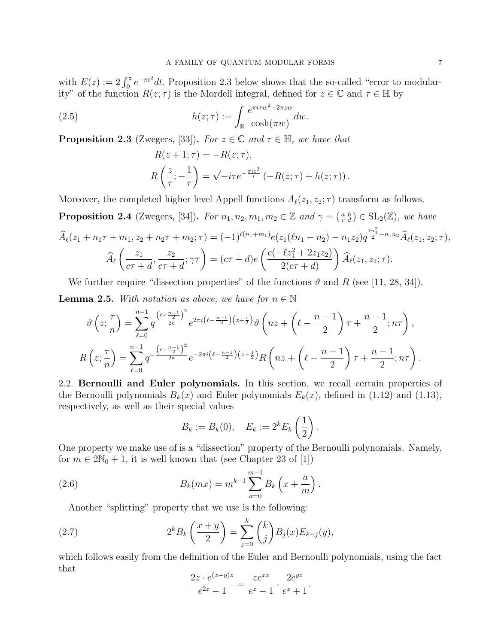with  $E(z) := 2 \int_0^z e^{-\pi t^2} dt$ . Proposition 2.3 below shows that the so-called "error to modularity" of the function  $R(z;\tau)$  is the Mordell integral, defined for  $z \in \mathbb{C}$  and  $\tau \in \mathbb{H}$  by

(2.5) 
$$
h(z;\tau) := \int_{\mathbb{R}} \frac{e^{\pi i \tau w^2 - 2\pi zw}}{\cosh(\pi w)} dw.
$$

**Proposition 2.3** (Zwegers, [33]). For  $z \in \mathbb{C}$  and  $\tau \in \mathbb{H}$ , we have that

$$
R(z+1;\tau) = -R(z;\tau),
$$
  
\n
$$
R\left(\frac{z}{\tau}; -\frac{1}{\tau}\right) = \sqrt{-i\tau}e^{-\frac{\pi i z^2}{\tau}}\left(-R(z;\tau) + h(z;\tau)\right).
$$

Moreover, the completed higher level Appell functions  $A_{\ell}(z_1, z_2; \tau)$  transform as follows.

**Proposition 2.4** (Zwegers, [34]). For  $n_1, n_2, m_1, m_2 \in \mathbb{Z}$  and  $\gamma = \begin{pmatrix} a & b \\ c & d \end{pmatrix} \in SL_2(\mathbb{Z})$ , we have  $\widehat{A}_{\ell}(z_1 + n_1\tau + m_1, z_2 + n_2\tau + m_2; \tau) = (-1)^{\ell(n_1 + m_1)}e(z_1(\ell n_1 - n_2) - n_1z_2)q^{\frac{\ell n_1^2}{2} - n_1n_2}\widehat{A}_{\ell}(z_1, z_2; \tau),$  $A_{\ell}$  $\begin{pmatrix} z_1 \end{pmatrix}$  $c\tau + d$  $\frac{z_2}{z_1}$  $c\tau + d$  $;\gamma\tau\big) = (c\tau + d)e$  $\int c(-\ell z_1^2 + 2z_1z_2)$  $2(c\tau+d)$  $\setminus$  $A_{\ell}(z_1, z_2; \tau)$ .

We further require "dissection properties" of the functions  $\vartheta$  and R (see [11, 28, 34]). **Lemma 2.5.** With notation as above, we have for  $n \in \mathbb{N}$ 

$$
\vartheta\left(z;\frac{\tau}{n}\right) = \sum_{\ell=0}^{n-1} q^{\frac{\left(\ell-\frac{n-1}{2}\right)^2}{2n}} e^{2\pi i \left(\ell-\frac{n-1}{2}\right)\left(z+\frac{1}{2}\right)} \vartheta\left(nz+\left(\ell-\frac{n-1}{2}\right)\tau+\frac{n-1}{2};n\tau\right),
$$
  

$$
R\left(z;\frac{\tau}{n}\right) = \sum_{\ell=0}^{n-1} q^{-\frac{\left(\ell-\frac{n-1}{2}\right)^2}{2n}} e^{-2\pi i \left(\ell-\frac{n-1}{2}\right)\left(z+\frac{1}{2}\right)} R\left(nz+\left(\ell-\frac{n-1}{2}\right)\tau+\frac{n-1}{2};n\tau\right).
$$

2.2. Bernoulli and Euler polynomials. In this section, we recall certain properties of the Bernoulli polynomials  $B_k(x)$  and Euler polynomials  $E_k(x)$ , defined in (1.12) and (1.13), respectively, as well as their special values

$$
B_k := B_k(0), \quad E_k := 2^k E_k\left(\frac{1}{2}\right).
$$

One property we make use of is a "dissection" property of the Bernoulli polynomials. Namely, for  $m \in 2\mathbb{N}_0 + 1$ , it is well known that (see Chapter 23 of [1])

(2.6) 
$$
B_k(mx) = m^{k-1} \sum_{a=0}^{m-1} B_k\left(x + \frac{a}{m}\right).
$$

Another "splitting" property that we use is the following:

(2.7) 
$$
2^{k} B_{k} \left( \frac{x+y}{2} \right) = \sum_{j=0}^{k} {k \choose j} B_{j}(x) E_{k-j}(y),
$$

which follows easily from the definition of the Euler and Bernoulli polynomials, using the fact that

$$
\frac{2z \cdot e^{(x+y)z}}{e^{2z} - 1} = \frac{ze^{xz}}{e^z - 1} \cdot \frac{2e^{yz}}{e^z + 1}.
$$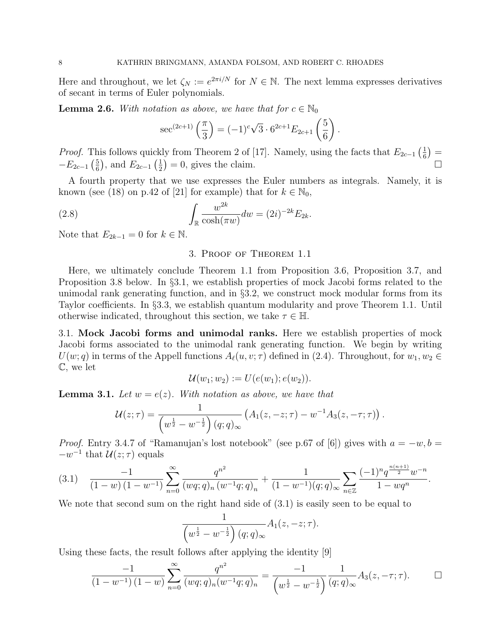Here and throughout, we let  $\zeta_N := e^{2\pi i/N}$  for  $N \in \mathbb{N}$ . The next lemma expresses derivatives of secant in terms of Euler polynomials.

**Lemma 2.6.** With notation as above, we have that for  $c \in \mathbb{N}_0$ 

$$
\sec^{(2c+1)}\left(\frac{\pi}{3}\right) = (-1)^c \sqrt{3} \cdot 6^{2c+1} E_{2c+1} \left(\frac{5}{6}\right).
$$

*Proof.* This follows quickly from Theorem 2 of [17]. Namely, using the facts that  $E_{2c-1}$   $\left(\frac{1}{6}\right)$  $(\frac{1}{6}) =$  $-E_{2c-1}(\frac{5}{6})$  $(\frac{5}{6})$ , and  $E_{2c-1}(\frac{1}{2})$  $(\frac{1}{2}) = 0$ , gives the claim.

A fourth property that we use expresses the Euler numbers as integrals. Namely, it is known (see (18) on p.42 of [21] for example) that for  $k \in \mathbb{N}_0$ ,

(2.8) 
$$
\int_{\mathbb{R}} \frac{w^{2k}}{\cosh(\pi w)} dw = (2i)^{-2k} E_{2k}.
$$

Note that  $E_{2k-1} = 0$  for  $k \in \mathbb{N}$ .

## 3. Proof of Theorem 1.1

Here, we ultimately conclude Theorem 1.1 from Proposition 3.6, Proposition 3.7, and Proposition 3.8 below. In §3.1, we establish properties of mock Jacobi forms related to the unimodal rank generating function, and in §3.2, we construct mock modular forms from its Taylor coefficients. In §3.3, we establish quantum modularity and prove Theorem 1.1. Until otherwise indicated, throughout this section, we take  $\tau \in \mathbb{H}$ .

3.1. Mock Jacobi forms and unimodal ranks. Here we establish properties of mock Jacobi forms associated to the unimodal rank generating function. We begin by writing  $U(w; q)$  in terms of the Appell functions  $A_{\ell}(u, v; \tau)$  defined in (2.4). Throughout, for  $w_1, w_2 \in$ C, we let

$$
\mathcal{U}(w_1;w_2):=U(e(w_1);e(w_2)).
$$

**Lemma 3.1.** Let  $w = e(z)$ . With notation as above, we have that

$$
\mathcal{U}(z;\tau) = \frac{1}{\left(w^{\frac{1}{2}} - w^{-\frac{1}{2}}\right)(q;q)_{\infty}} \left(A_1(z,-z;\tau) - w^{-1}A_3(z,-\tau;\tau)\right).
$$

*Proof.* Entry 3.4.7 of "Ramanujan's lost notebook" (see p.67 of [6]) gives with  $a = -w, b =$  $-w^{-1}$  that  $\mathcal{U}(z;\tau)$  equals

$$
(3.1) \quad \frac{-1}{(1-w)(1-w^{-1})} \sum_{n=0}^{\infty} \frac{q^{n^2}}{(wq;q)_n (w^{-1}q;q)_n} + \frac{1}{(1-w^{-1})(q;q)_{\infty}} \sum_{n \in \mathbb{Z}} \frac{(-1)^n q^{\frac{n(n+1)}{2}} w^{-n}}{1 - wq^n}.
$$

We note that second sum on the right hand side of (3.1) is easily seen to be equal to

$$
\frac{1}{\left(w^{\frac{1}{2}}-w^{-\frac{1}{2}}\right)(q;q)_{\infty}}A_1(z,-z;\tau).
$$

Using these facts, the result follows after applying the identity [9]

$$
\frac{-1}{(1-w^{-1})(1-w)}\sum_{n=0}^{\infty}\frac{q^{n^2}}{(wq;q)_n(w^{-1}q;q)_n}=\frac{-1}{\left(w^{\frac{1}{2}}-w^{-\frac{1}{2}}\right)}\frac{1}{(q;q)_{\infty}}A_3(z,-\tau;\tau).
$$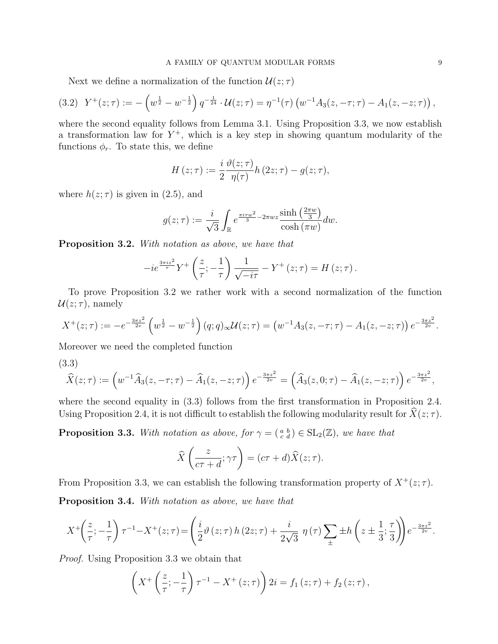Next we define a normalization of the function  $\mathcal{U}(z;\tau)$ 

$$
(3.2) \ \ Y^+(z;\tau) := -\left(w^{\frac{1}{2}} - w^{-\frac{1}{2}}\right)q^{-\frac{1}{24}} \cdot \mathcal{U}(z;\tau) = \eta^{-1}(\tau) \left(w^{-1}A_3(z,-\tau;\tau) - A_1(z,-z;\tau)\right),
$$

where the second equality follows from Lemma 3.1. Using Proposition 3.3, we now establish a transformation law for  $Y^+$ , which is a key step in showing quantum modularity of the functions  $\phi_r$ . To state this, we define

$$
H(z;\tau) := \frac{i}{2} \frac{\vartheta(z;\tau)}{\eta(\tau)} h(z; \tau) - g(z;\tau),
$$

where  $h(z; \tau)$  is given in (2.5), and

$$
g(z;\tau) := \frac{i}{\sqrt{3}} \int_{\mathbb{R}} e^{\frac{\pi i \tau w^2}{3} - 2\pi w z} \frac{\sinh\left(\frac{2\pi w}{3}\right)}{\cosh(\pi w)} dw.
$$

Proposition 3.2. With notation as above, we have that

$$
-ie^{\frac{3\pi iz^2}{\tau}}Y^+\left(\frac{z}{\tau};-\frac{1}{\tau}\right)\frac{1}{\sqrt{-i\tau}}-Y^+\left(z;\tau\right)=H\left(z;\tau\right).
$$

To prove Proposition 3.2 we rather work with a second normalization of the function  $\mathcal{U}(z;\tau)$ , namely

$$
X^+(z;\tau) := -e^{-\frac{3\pi z^2}{2v}} \left( w^{\frac{1}{2}} - w^{-\frac{1}{2}} \right) (q;q)_{\infty} \mathcal{U}(z;\tau) = \left( w^{-1} A_3(z,-\tau;\tau) - A_1(z,-z;\tau) \right) e^{-\frac{3\pi z^2}{2v}}.
$$

Moreover we need the completed function

(3.3)

$$
\widehat{X}(z;\tau) := \left(w^{-1}\widehat{A}_3(z,-\tau;\tau) - \widehat{A}_1(z,-z;\tau)\right)e^{-\frac{3\pi z^2}{2v}} = \left(\widehat{A}_3(z,0;\tau) - \widehat{A}_1(z,-z;\tau)\right)e^{-\frac{3\pi z^2}{2v}},
$$

where the second equality in  $(3.3)$  follows from the first transformation in Proposition 2.4. Using Proposition 2.4, it is not difficult to establish the following modularity result for  $\hat{X}(z; \tau)$ .

**Proposition 3.3.** With notation as above, for  $\gamma = \begin{pmatrix} a & b \\ c & d \end{pmatrix} \in SL_2(\mathbb{Z})$ , we have that

$$
\widehat{X}\left(\frac{z}{c\tau+d};\gamma\tau\right) = (c\tau+d)\widehat{X}(z;\tau).
$$

From Proposition 3.3, we can establish the following transformation property of  $X^+(z;\tau)$ . Proposition 3.4. With notation as above, we have that

$$
X^{+}\left(\frac{z}{\tau};-\frac{1}{\tau}\right)\tau^{-1}-X^{+}(z;\tau)=\left(\frac{i}{2}\vartheta\left(z;\tau\right)h\left(2z;\tau\right)+\frac{i}{2\sqrt{3}}\ \eta\left(\tau\right)\sum_{\pm}\pm h\left(z\pm\frac{1}{3};\frac{\tau}{3}\right)\right)e^{-\frac{3\pi z^{2}}{2v}}.
$$

Proof. Using Proposition 3.3 we obtain that

$$
\left(X^{+}\left(\frac{z}{\tau};-\frac{1}{\tau}\right)\tau^{-1}-X^{+}\left(z;\tau\right)\right)2i=f_{1}\left(z;\tau\right)+f_{2}\left(z;\tau\right),\,
$$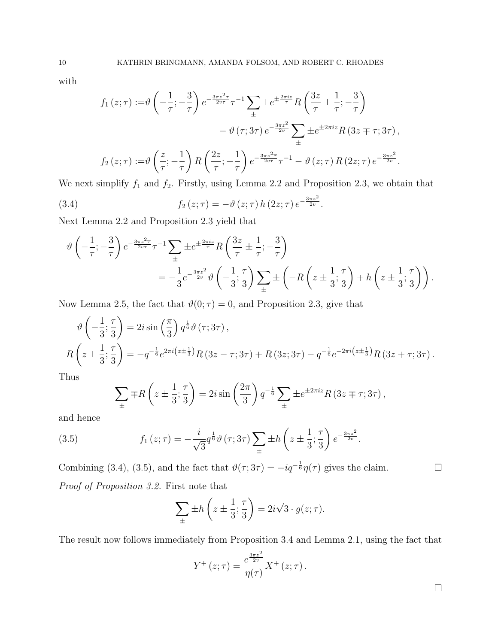with

$$
f_1(z;\tau) := \vartheta \left( -\frac{1}{\tau}; -\frac{3}{\tau} \right) e^{-\frac{3\pi z^2 \overline{\tau}}{2v\tau}} \tau^{-1} \sum_{\pm} \pm e^{\pm \frac{2\pi i z}{\tau}} R \left( \frac{3z}{\tau} \pm \frac{1}{\tau}; -\frac{3}{\tau} \right) - \vartheta (\tau; 3\tau) e^{-\frac{3\pi z^2}{2v}} \sum_{\pm} \pm e^{\pm 2\pi i z} R (3z \mp \tau; 3\tau),
$$
  

$$
f_2(z;\tau) := \vartheta \left( \frac{z}{\tau}; -\frac{1}{\tau} \right) R \left( \frac{2z}{\tau}; -\frac{1}{\tau} \right) e^{-\frac{3\pi z^2 \overline{\tau}}{2v\tau}} \tau^{-1} - \vartheta (z;\tau) R (2z;\tau) e^{-\frac{3\pi z^2}{2v}}.
$$

We next simplify  $f_1$  and  $f_2$ . Firstly, using Lemma 2.2 and Proposition 2.3, we obtain that

(3.4) 
$$
f_2(z;\tau) = -\vartheta(z;\tau) h(2z;\tau) e^{-\frac{3\pi z^2}{2v}}.
$$

Next Lemma 2.2 and Proposition 2.3 yield that

$$
\vartheta\left(-\frac{1}{\tau}; -\frac{3}{\tau}\right)e^{-\frac{3\pi z^2\overline{\tau}}{2\upsilon\tau}}\tau^{-1}\sum_{\pm} \pm e^{\pm\frac{2\pi i z}{\tau}}R\left(\frac{3z}{\tau}\pm\frac{1}{\tau}; -\frac{3}{\tau}\right)
$$

$$
=-\frac{1}{3}e^{-\frac{3\pi z^2}{2\upsilon}}\vartheta\left(-\frac{1}{3}; \frac{\tau}{3}\right)\sum_{\pm} \pm \left(-R\left(z\pm\frac{1}{3}; \frac{\tau}{3}\right) + h\left(z\pm\frac{1}{3}; \frac{\tau}{3}\right)\right).
$$

Now Lemma 2.5, the fact that  $\vartheta(0; \tau) = 0$ , and Proposition 2.3, give that

$$
\vartheta\left(-\frac{1}{3};\frac{\tau}{3}\right) = 2i\sin\left(\frac{\pi}{3}\right)q^{\frac{1}{6}}\vartheta\left(\tau;3\tau\right),
$$
  
\n
$$
R\left(z \pm \frac{1}{3};\frac{\tau}{3}\right) = -q^{-\frac{1}{6}}e^{2\pi i\left(z \pm \frac{1}{3}\right)}R\left(3z - \tau;3\tau\right) + R\left(3z;3\tau\right) - q^{-\frac{1}{6}}e^{-2\pi i\left(z \pm \frac{1}{3}\right)}R\left(3z + \tau;3\tau\right).
$$

Thus

$$
\sum_{\pm} \mp R\left(z \pm \frac{1}{3}; \frac{\tau}{3}\right) = 2i \sin\left(\frac{2\pi}{3}\right) q^{-\frac{1}{6}} \sum_{\pm} \pm e^{\pm 2\pi i z} R\left(3z \mp \tau; 3\tau\right),
$$

and hence

(3.5) 
$$
f_1(z;\tau) = -\frac{i}{\sqrt{3}} q^{\frac{1}{6}} \vartheta(\tau; 3\tau) \sum_{\pm} \pm h \left(z \pm \frac{1}{3}; \frac{\tau}{3}\right) e^{-\frac{3\pi z^2}{2v}}.
$$

Combining (3.4), (3.5), and the fact that  $\vartheta(\tau; 3\tau) = -iq^{-\frac{1}{6}}\eta(\tau)$  gives the claim. Proof of Proposition 3.2. First note that

$$
\sum_{\pm} \pm h\left(z \pm \frac{1}{3}; \frac{\tau}{3}\right) = 2i\sqrt{3} \cdot g(z; \tau).
$$

The result now follows immediately from Proposition 3.4 and Lemma 2.1, using the fact that

$$
Y^{+}(z;\tau) = \frac{e^{\frac{3\pi z^{2}}{2v}}}{\eta(\tau)}X^{+}(z;\tau).
$$

 $\Box$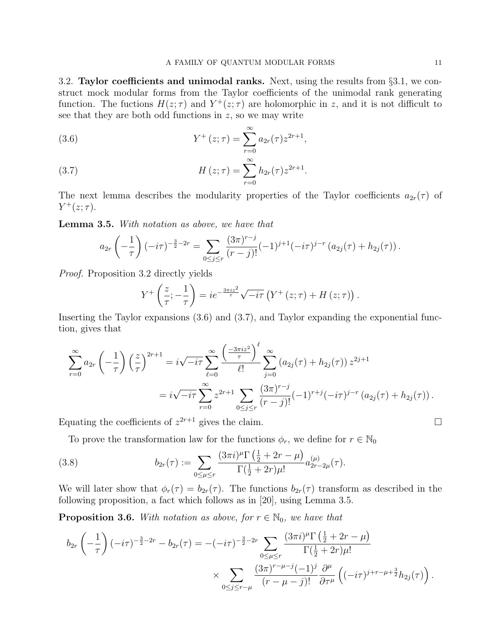3.2. Taylor coefficients and unimodal ranks. Next, using the results from  $\S 3.1$ , we construct mock modular forms from the Taylor coefficients of the unimodal rank generating function. The fuctions  $H(z;\tau)$  and  $Y^+(z;\tau)$  are holomorphic in z, and it is not difficult to see that they are both odd functions in  $z$ , so we may write

(3.6) 
$$
Y^{+}(z;\tau) = \sum_{r=0}^{\infty} a_{2r}(\tau) z^{2r+1},
$$

(3.7) 
$$
H(z; \tau) = \sum_{r=0}^{\infty} h_{2r}(\tau) z^{2r+1}.
$$

The next lemma describes the modularity properties of the Taylor coefficients  $a_{2r}(\tau)$  of  $Y^+(z;\tau)$ .

Lemma 3.5. With notation as above, we have that

$$
a_{2r}\left(-\frac{1}{\tau}\right)(-i\tau)^{-\frac{3}{2}-2r} = \sum_{0 \leq j \leq r} \frac{(3\pi)^{r-j}}{(r-j)!}(-1)^{j+1}(-i\tau)^{j-r} (a_{2j}(\tau) + h_{2j}(\tau)).
$$

Proof. Proposition 3.2 directly yields

$$
Y^+\left(\frac{z}{\tau};-\frac{1}{\tau}\right)=ie^{-\frac{3\pi iz^2}{\tau}}\sqrt{-i\tau}\left(Y^+\left(z;\tau\right)+H\left(z;\tau\right)\right).
$$

Inserting the Taylor expansions (3.6) and (3.7), and Taylor expanding the exponential function, gives that

$$
\sum_{r=0}^{\infty} a_{2r} \left( -\frac{1}{\tau} \right) \left( \frac{z}{\tau} \right)^{2r+1} = i \sqrt{-i\tau} \sum_{\ell=0}^{\infty} \frac{\left( \frac{-3\pi i z^2}{\tau} \right)^{\ell}}{\ell!} \sum_{j=0}^{\infty} \left( a_{2j}(\tau) + h_{2j}(\tau) \right) z^{2j+1}
$$
  
=  $i \sqrt{-i\tau} \sum_{r=0}^{\infty} z^{2r+1} \sum_{0 \le j \le r} \frac{(3\pi)^{r-j}}{(r-j)!} (-1)^{r+j} (-i\tau)^{j-r} \left( a_{2j}(\tau) + h_{2j}(\tau) \right).$ 

Equating the coefficients of  $z^{2r+1}$  gives the claim.

To prove the transformation law for the functions  $\phi_r$ , we define for  $r \in \mathbb{N}_0$ 

(3.8) 
$$
b_{2r}(\tau) := \sum_{0 \le \mu \le r} \frac{(3\pi i)^{\mu} \Gamma\left(\frac{1}{2} + 2r - \mu\right)}{\Gamma\left(\frac{1}{2} + 2r\right) \mu!} a_{2r-2\mu}^{(\mu)}(\tau).
$$

We will later show that  $\phi_r(\tau) = b_{2r}(\tau)$ . The functions  $b_{2r}(\tau)$  transform as described in the following proposition, a fact which follows as in [20], using Lemma 3.5.

**Proposition 3.6.** With notation as above, for  $r \in \mathbb{N}_0$ , we have that

$$
b_{2r} \left( -\frac{1}{\tau} \right) (-i\tau)^{-\frac{3}{2} - 2r} - b_{2r}(\tau) = -(-i\tau)^{-\frac{3}{2} - 2r} \sum_{0 \le \mu \le r} \frac{(3\pi i)^{\mu} \Gamma\left(\frac{1}{2} + 2r - \mu\right)}{\Gamma\left(\frac{1}{2} + 2r\right) \mu!} \times \sum_{0 \le j \le r - \mu} \frac{(3\pi)^{r - \mu - j} (-1)^j}{(r - \mu - j)!} \frac{\partial^{\mu}}{\partial \tau^{\mu}} \left( (-i\tau)^{j + r - \mu + \frac{3}{2}} h_{2j}(\tau) \right).
$$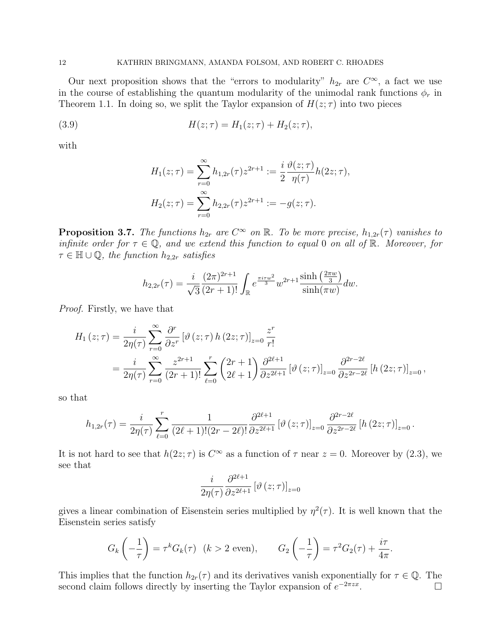Our next proposition shows that the "errors to modularity"  $h_{2r}$  are  $C^{\infty}$ , a fact we use in the course of establishing the quantum modularity of the unimodal rank functions  $\phi_r$  in Theorem 1.1. In doing so, we split the Taylor expansion of  $H(z;\tau)$  into two pieces

(3.9) 
$$
H(z; \tau) = H_1(z; \tau) + H_2(z; \tau),
$$

with

$$
H_1(z;\tau) = \sum_{r=0}^{\infty} h_{1,2r}(\tau) z^{2r+1} := \frac{i}{2} \frac{\vartheta(z;\tau)}{\eta(\tau)} h(2z;\tau),
$$
  

$$
H_2(z;\tau) = \sum_{r=0}^{\infty} h_{2,2r}(\tau) z^{2r+1} := -g(z;\tau).
$$

**Proposition 3.7.** The functions  $h_{2r}$  are  $C^{\infty}$  on  $\mathbb{R}$ . To be more precise,  $h_{1,2r}(\tau)$  vanishes to infinite order for  $\tau \in \mathbb{Q}$ , and we extend this function to equal 0 on all of  $\mathbb{R}$ . Moreover, for  $\tau \in \mathbb{H} \cup \mathbb{Q}$ , the function  $h_{2,2r}$  satisfies

$$
h_{2,2r}(\tau) = \frac{i}{\sqrt{3}} \frac{(2\pi)^{2r+1}}{(2r+1)!} \int_{\mathbb{R}} e^{\frac{\pi i \tau w^2}{3}} w^{2r+1} \frac{\sinh\left(\frac{2\pi w}{3}\right)}{\sinh(\pi w)} dw.
$$

Proof. Firstly, we have that

$$
H_{1}(z;\tau) = \frac{i}{2\eta(\tau)} \sum_{r=0}^{\infty} \frac{\partial^{r}}{\partial z^{r}} [\vartheta(z;\tau) h(2z;\tau)]_{z=0} \frac{z^{r}}{r!}
$$
  
= 
$$
\frac{i}{2\eta(\tau)} \sum_{r=0}^{\infty} \frac{z^{2r+1}}{(2r+1)!} \sum_{\ell=0}^{r} {2r+1 \choose 2\ell+1} \frac{\partial^{2\ell+1}}{\partial z^{2\ell+1}} [\vartheta(z;\tau)]_{z=0} \frac{\partial^{2r-2\ell}}{\partial z^{2r-2\ell}} [h(2z;\tau)]_{z=0},
$$

so that

$$
h_{1,2r}(\tau) = \frac{i}{2\eta(\tau)} \sum_{\ell=0}^{r} \frac{1}{(2\ell+1)!(2r-2\ell)!} \frac{\partial^{2\ell+1}}{\partial z^{2\ell+1}} \left[ \vartheta(z;\tau) \right]_{z=0} \frac{\partial^{2r-2\ell}}{\partial z^{2r-2\ell}} \left[ h\left(2z;\tau\right) \right]_{z=0}.
$$

It is not hard to see that  $h(2z;\tau)$  is  $C^{\infty}$  as a function of  $\tau$  near  $z=0$ . Moreover by (2.3), we see that

$$
\frac{i}{2\eta(\tau)}\frac{\partial^{2\ell+1}}{\partial z^{2\ell+1}}\left[\vartheta\left(z;\tau\right)\right]_{z=0}
$$

gives a linear combination of Eisenstein series multiplied by  $\eta^2(\tau)$ . It is well known that the Eisenstein series satisfy

$$
G_k\left(-\frac{1}{\tau}\right) = \tau^k G_k(\tau) \quad (k > 2 \text{ even}), \qquad G_2\left(-\frac{1}{\tau}\right) = \tau^2 G_2(\tau) + \frac{i\tau}{4\pi}.
$$

This implies that the function  $h_{2r}(\tau)$  and its derivatives vanish exponentially for  $\tau \in \mathbb{Q}$ . The second claim follows directly by inserting the Taylor expansion of  $e^{-2\pi zx}$ .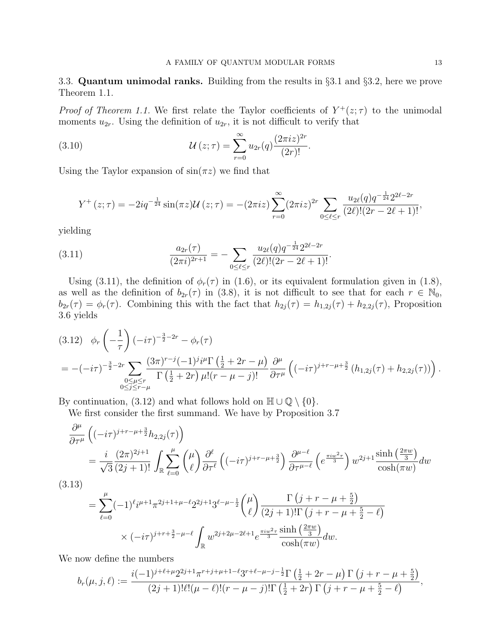3.3. Quantum unimodal ranks. Building from the results in §3.1 and §3.2, here we prove Theorem 1.1.

*Proof of Theorem 1.1.* We first relate the Taylor coefficients of  $Y^+(z;\tau)$  to the unimodal moments  $u_{2r}$ . Using the definition of  $u_{2r}$ , it is not difficult to verify that

(3.10) 
$$
\mathcal{U}(z;\tau) = \sum_{r=0}^{\infty} u_{2r}(q) \frac{(2\pi i z)^{2r}}{(2r)!}.
$$

Using the Taylor expansion of  $sin(\pi z)$  we find that

$$
Y^{+}(z;\tau) = -2iq^{-\frac{1}{24}}\sin(\pi z)\mathcal{U}(z;\tau) = -(2\pi iz)\sum_{r=0}^{\infty} (2\pi iz)^{2r} \sum_{0 \leq \ell \leq r} \frac{u_{2\ell}(q)q^{-\frac{1}{24}}2^{2\ell-2r}}{(2\ell)!(2r-2\ell+1)!},
$$

yielding

(3.11) 
$$
\frac{a_{2r}(\tau)}{(2\pi i)^{2r+1}} = -\sum_{0 \leq \ell \leq r} \frac{u_{2\ell}(q)q^{-\frac{1}{24}}2^{2\ell - 2r}}{(2\ell)!(2r - 2\ell + 1)!}.
$$

Using (3.11), the definition of  $\phi_r(\tau)$  in (1.6), or its equivalent formulation given in (1.8), as well as the definition of  $b_{2r}(\tau)$  in (3.8), it is not difficult to see that for each  $r \in \mathbb{N}_0$ ,  $b_{2r}(\tau) = \phi_r(\tau)$ . Combining this with the fact that  $h_{2j}(\tau) = h_{1,2j}(\tau) + h_{2,2j}(\tau)$ , Proposition 3.6 yields

$$
(3.12) \quad \phi_r \left( -\frac{1}{\tau} \right) (-i\tau)^{-\frac{3}{2} - 2r} - \phi_r(\tau)
$$
\n
$$
= -(-i\tau)^{-\frac{3}{2} - 2r} \sum_{\substack{0 \le \mu \le r \\ 0 \le j \le r - \mu}} \frac{(3\pi)^{r - j} (-1)^j i^{\mu} \Gamma\left(\frac{1}{2} + 2r - \mu\right)}{\Gamma\left(\frac{1}{2} + 2r\right) \mu! (r - \mu - j)!} \frac{\partial^{\mu}}{\partial \tau^{\mu}} \left( (-i\tau)^{j + r - \mu + \frac{3}{2}} \left( h_{1,2j}(\tau) + h_{2,2j}(\tau) \right) \right).
$$

By continuation, (3.12) and what follows hold on  $\mathbb{H} \cup \mathbb{Q} \setminus \{0\}.$ 

We first consider the first summand. We have by Proposition 3.7

$$
\frac{\partial^{\mu}}{\partial \tau^{\mu}} \left( (-i\tau)^{j+r-\mu+\frac{3}{2}} h_{2,2j}(\tau) \right)
$$
\n
$$
= \frac{i}{\sqrt{3}} \frac{(2\pi)^{2j+1}}{(2j+1)!} \int_{\mathbb{R}} \sum_{\ell=0}^{\mu} \binom{\mu}{\ell} \frac{\partial^{\ell}}{\partial \tau^{\ell}} \left( (-i\tau)^{j+r-\mu+\frac{3}{2}} \right) \frac{\partial^{\mu-\ell}}{\partial \tau^{\mu-\ell}} \left( e^{\frac{\pi i w^2 \tau}{3}} \right) w^{2j+1} \frac{\sinh\left(\frac{2\pi w}{3}\right)}{\cosh(\pi w)} dw
$$
\n(12)

(3.13)

$$
= \sum_{\ell=0}^{\mu} (-1)^{\ell} i^{\mu+1} \pi^{2j+1+\mu-\ell} 2^{2j+1} 3^{\ell-\mu-\frac{1}{2}} {\mu \choose \ell} \frac{\Gamma(j+r-\mu+\frac{5}{2})}{(2j+1)!\Gamma(j+r-\mu+\frac{5}{2}-\ell)} \times (-i\tau)^{j+r+\frac{3}{2}-\mu-\ell} \int_{\mathbb{R}} w^{2j+2\mu-2\ell+1} e^{\frac{\pi i w^2 \tau}{3}} \frac{\sinh\left(\frac{2\pi w}{3}\right)}{\cosh(\pi w)} dw.
$$

We now define the numbers

$$
b_r(\mu, j, \ell) := \frac{i(-1)^{j+\ell+\mu}2^{2j+1}\pi^{r+j+\mu+1-\ell}3^{r+\ell-\mu-j-\frac{1}{2}}\Gamma\left(\frac{1}{2}+2r-\mu\right)\Gamma\left(j+r-\mu+\frac{5}{2}\right)}{(2j+1)!\ell!(\mu-\ell)!(r-\mu-j)!\Gamma\left(\frac{1}{2}+2r\right)\Gamma\left(j+r-\mu+\frac{5}{2}-\ell\right)},
$$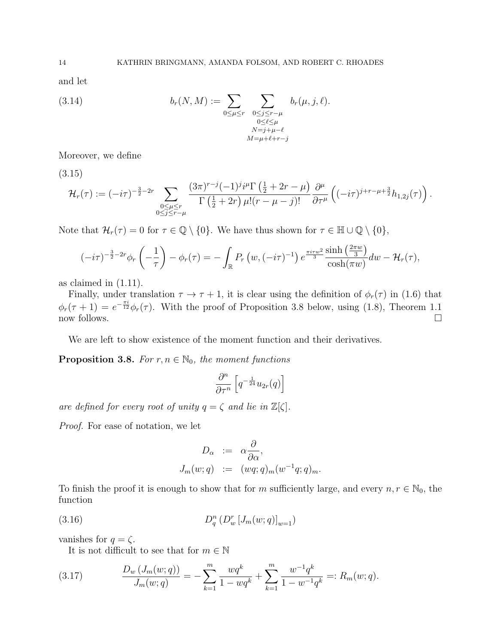and let

(3.14) 
$$
b_r(N,M) := \sum_{0 \leq \mu \leq r} \sum_{\substack{0 \leq j \leq r-\mu \\ 0 \leq \ell \leq \mu \\ N=j+\mu-\ell \\ M=\mu+\ell+r-j}} b_r(\mu, j, \ell).
$$

Moreover, we define

(3.15)

$$
\mathcal{H}_r(\tau) := (-i\tau)^{-\frac{3}{2}-2r} \sum_{\substack{0 \leq \mu \leq r \\ 0 \leq j \leq r-\mu}} \frac{(3\pi)^{r-j}(-1)^j i^{\mu} \Gamma\left(\frac{1}{2}+2r-\mu\right)}{\Gamma\left(\frac{1}{2}+2r\right) \mu!(r-\mu-j)!} \frac{\partial^{\mu}}{\partial \tau^{\mu}} \left( (-i\tau)^{j+r-\mu+\frac{3}{2}} h_{1,2j}(\tau) \right).
$$

Note that  $\mathcal{H}_r(\tau) = 0$  for  $\tau \in \mathbb{Q} \setminus \{0\}$ . We have thus shown for  $\tau \in \mathbb{H} \cup \mathbb{Q} \setminus \{0\}$ ,

$$
(-i\tau)^{-\frac{3}{2}-2r}\phi_r\left(-\frac{1}{\tau}\right)-\phi_r(\tau)=-\int_{\mathbb{R}}P_r\left(w,(-i\tau)^{-1}\right)e^{\frac{\pi i\tau w^2}{3}}\frac{\sinh\left(\frac{2\pi w}{3}\right)}{\cosh(\pi w)}dw-\mathcal{H}_r(\tau),
$$

as claimed in (1.11).

Finally, under translation  $\tau \to \tau + 1$ , it is clear using the definition of  $\phi_r(\tau)$  in (1.6) that  $\phi_r(\tau+1) = e^{-\frac{\pi i}{12}} \phi_r(\tau)$ . With the proof of Proposition 3.8 below, using (1.8), Theorem 1.1 now follows.  $\Box$ 

We are left to show existence of the moment function and their derivatives.

**Proposition 3.8.** For  $r, n \in \mathbb{N}_0$ , the moment functions

$$
\frac{\partial^n}{\partial\tau^n}\left[q^{-\frac{1}{24}}u_{2r}(q)\right]
$$

are defined for every root of unity  $q = \zeta$  and lie in  $\mathbb{Z}[\zeta]$ .

Proof. For ease of notation, we let

$$
D_{\alpha} := \alpha \frac{\partial}{\partial \alpha},
$$
  
\n
$$
J_m(w;q) := (wq;q)_m(w^{-1}q;q)_m.
$$

To finish the proof it is enough to show that for m sufficiently large, and every  $n, r \in \mathbb{N}_0$ , the function

(3.16) 
$$
D_q^n(D_w^n[J_m(w;q)]_{w=1})
$$

vanishes for  $q = \zeta$ .

It is not difficult to see that for  $m \in \mathbb{N}$ 

(3.17) 
$$
\frac{D_w(J_m(w;q))}{J_m(w;q)} = -\sum_{k=1}^m \frac{wq^k}{1 - wq^k} + \sum_{k=1}^m \frac{w^{-1}q^k}{1 - w^{-1}q^k} =: R_m(w;q).
$$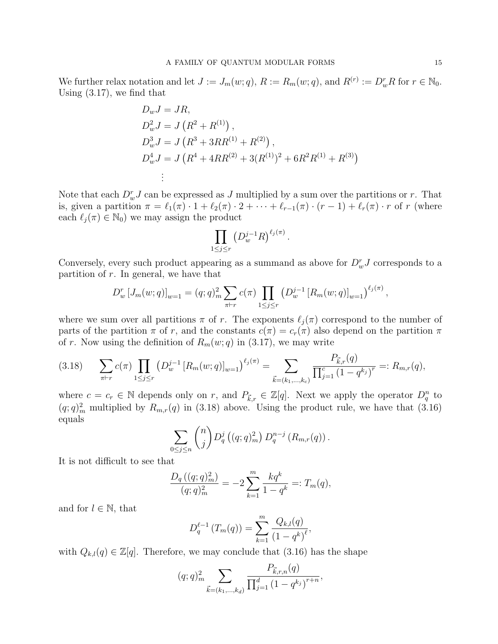We further relax notation and let  $J := J_m(w; q)$ ,  $R := R_m(w; q)$ , and  $R^{(r)} := D_w^r R$  for  $r \in \mathbb{N}_0$ . Using (3.17), we find that

$$
D_w J = JR,
$$
  
\n
$$
D_w^2 J = J (R^2 + R^{(1)}),
$$
  
\n
$$
D_w^3 J = J (R^3 + 3RR^{(1)} + R^{(2)}),
$$
  
\n
$$
D_w^4 J = J (R^4 + 4RR^{(2)} + 3(R^{(1)})^2 + 6R^2R^{(1)} + R^{(3)})
$$
  
\n
$$
\vdots
$$

Note that each  $D_w^r J$  can be expressed as  $J$  multiplied by a sum over the partitions or  $r$ . That is, given a partition  $\pi = \ell_1(\pi) \cdot 1 + \ell_2(\pi) \cdot 2 + \cdots + \ell_{r-1}(\pi) \cdot (r-1) + \ell_r(\pi) \cdot r$  of r (where each  $\ell_i(\pi) \in \mathbb{N}_0$  we may assign the product

$$
\prod_{1 \le j \le r} \left( D_w^{j-1} R \right)^{\ell_j(\pi)}
$$

.

Conversely, every such product appearing as a summand as above for  $D_w^r J$  corresponds to a partition of  $r$ . In general, we have that

$$
D_w^r [J_m(w;q)]_{w=1} = (q;q)_m^2 \sum_{\pi \vdash r} c(\pi) \prod_{1 \le j \le r} \left( D_w^{j-1} [R_m(w;q)]_{w=1} \right)^{\ell_j(\pi)},
$$

where we sum over all partitions  $\pi$  of r. The exponents  $\ell_i(\pi)$  correspond to the number of parts of the partition  $\pi$  of r, and the constants  $c(\pi) = c_r(\pi)$  also depend on the partition  $\pi$ of r. Now using the definition of  $R_m(w; q)$  in (3.17), we may write

$$
(3.18) \qquad \sum_{\pi \vdash r} c(\pi) \prod_{1 \le j \le r} \left( D_w^{j-1} \left[ R_m(w; q) \right]_{w=1} \right)^{\ell_j(\pi)} = \sum_{\vec{k} = (k_1, \dots, k_c)} \frac{P_{\vec{k},r}(q)}{\prod_{j=1}^c \left( 1 - q^{k_j} \right)^r} =: R_{m,r}(q),
$$

where  $c = c_r \in \mathbb{N}$  depends only on r, and  $P_{\vec{k},r} \in \mathbb{Z}[q]$ . Next we apply the operator  $D_q^n$  to  $(q; q)_m^2$  multiplied by  $R_{m,r}(q)$  in (3.18) above. Using the product rule, we have that (3.16) equals

$$
\sum_{0 \le j \le n} {n \choose j} D_q^j ((q;q)_m^2) D_q^{n-j} (R_{m,r}(q)).
$$

It is not difficult to see that

$$
\frac{D_q((q;q)^2_m)}{(q;q)^2_m} = -2\sum_{k=1}^m \frac{kq^k}{1-q^k} =: T_m(q),
$$

and for  $l \in \mathbb{N}$ , that

$$
D_q^{\ell-1}(T_m(q)) = \sum_{k=1}^m \frac{Q_{k,l}(q)}{(1-q^k)^{\ell}},
$$

with  $Q_{k,l}(q) \in \mathbb{Z}[q]$ . Therefore, we may conclude that (3.16) has the shape

$$
(q;q)_m^2
$$
 
$$
\sum_{\vec{k}=(k_1,\dots,k_d)} \frac{P_{\vec{k},r,n}(q)}{\prod_{j=1}^d (1-q^{k_j})^{r+n}},
$$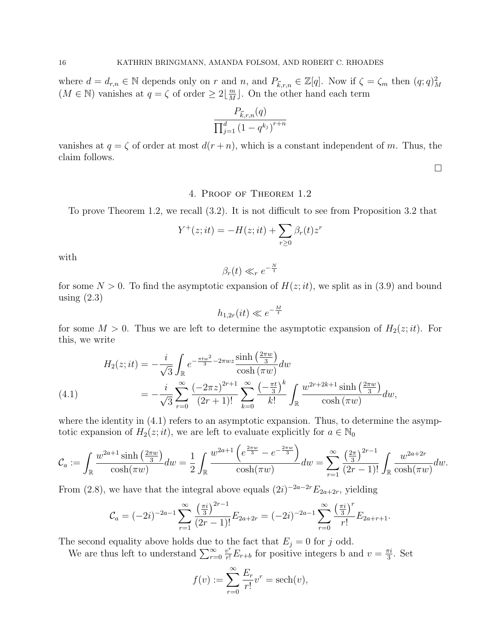where  $d = d_{r,n} \in \mathbb{N}$  depends only on r and n, and  $P_{\vec{k},r,n} \in \mathbb{Z}[q]$ . Now if  $\zeta = \zeta_m$  then  $(q;q)_M^2$  $(M \in \mathbb{N})$  vanishes at  $q = \zeta$  of order  $\geq 2\left[\frac{m}{M}\right]$  $\frac{m}{M}$ . On the other hand each term

$$
\frac{P_{\vec{k},r,n}(q)}{\prod_{j=1}^{d} (1 - q^{k_j})^{r+n}}
$$

vanishes at  $q = \zeta$  of order at most  $d(r + n)$ , which is a constant independent of m. Thus, the claim follows.

 $\Box$ 

## 4. Proof of Theorem 1.2

To prove Theorem 1.2, we recall (3.2). It is not difficult to see from Proposition 3.2 that

$$
Y^+(z;it) = -H(z;it) + \sum_{r\geq 0} \beta_r(t) z^r
$$

with

$$
\beta_r(t) \ll_r e^{-\frac{N}{t}}
$$

for some  $N > 0$ . To find the asymptotic expansion of  $H(z;it)$ , we split as in (3.9) and bound using  $(2.3)$ 

$$
h_{1,2r}(it) \ll e^{-\frac{M}{t}}
$$

for some  $M > 0$ . Thus we are left to determine the asymptotic expansion of  $H_2(z;it)$ . For this, we write

(4.1) 
$$
H_2(z;it) = -\frac{i}{\sqrt{3}} \int_{\mathbb{R}} e^{-\frac{\pi i w^2}{3} - 2\pi w z} \frac{\sinh\left(\frac{2\pi w}{3}\right)}{\cosh\left(\pi w\right)} dw
$$

$$
= -\frac{i}{\sqrt{3}} \sum_{r=0}^{\infty} \frac{\left(-2\pi z\right)^{2r+1}}{(2r+1)!} \sum_{k=0}^{\infty} \frac{\left(-\frac{\pi t}{3}\right)^k}{k!} \int_{\mathbb{R}} \frac{w^{2r+2k+1} \sinh\left(\frac{2\pi w}{3}\right)}{\cosh\left(\pi w\right)} dw,
$$

where the identity in  $(4.1)$  refers to an asymptotic expansion. Thus, to determine the asymptotic expansion of  $H_2(z;it)$ , we are left to evaluate explicitly for  $a \in \mathbb{N}_0$ 

$$
\mathcal{C}_a := \int_{\mathbb{R}} \frac{w^{2a+1} \sinh\left(\frac{2\pi w}{3}\right)}{\cosh(\pi w)} dw = \frac{1}{2} \int_{\mathbb{R}} \frac{w^{2a+1} \left(e^{\frac{2\pi w}{3}} - e^{-\frac{2\pi w}{3}}\right)}{\cosh(\pi w)} dw = \sum_{r=1}^{\infty} \frac{\left(\frac{2\pi}{3}\right)^{2r-1}}{(2r-1)!} \int_{\mathbb{R}} \frac{w^{2a+2r}}{\cosh(\pi w)} dw.
$$

From (2.8), we have that the integral above equals  $(2i)^{-2a-2r}E_{2a+2r}$ , yielding

$$
C_a = (-2i)^{-2a-1} \sum_{r=1}^{\infty} \frac{\left(\frac{\pi i}{3}\right)^{2r-1}}{(2r-1)!} E_{2a+2r} = (-2i)^{-2a-1} \sum_{r=0}^{\infty} \frac{\left(\frac{\pi i}{3}\right)^r}{r!} E_{2a+r+1}.
$$

The second equality above holds due to the fact that  $E_j = 0$  for j odd.

We are thus left to understand  $\sum_{r=0}^{\infty}$  $\frac{v^r}{r!}E_{r+b}$  for positive integers b and  $v=\frac{\pi i}{3}$  $\frac{\pi i}{3}$ . Set

$$
f(v) := \sum_{r=0}^{\infty} \frac{E_r}{r!} v^r = \operatorname{sech}(v),
$$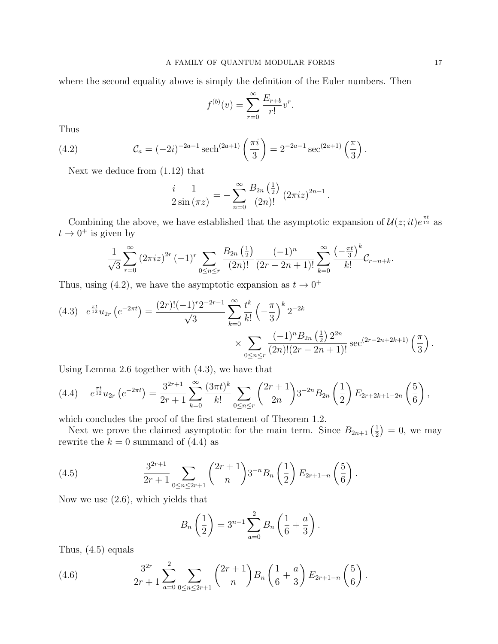where the second equality above is simply the definition of the Euler numbers. Then

$$
f^{(b)}(v) = \sum_{r=0}^{\infty} \frac{E_{r+b}}{r!} v^r.
$$

Thus

(4.2) 
$$
\mathcal{C}_a = (-2i)^{-2a-1} \operatorname{sech}^{(2a+1)}\left(\frac{\pi i}{3}\right) = 2^{-2a-1} \operatorname{sec}^{(2a+1)}\left(\frac{\pi}{3}\right).
$$

Next we deduce from (1.12) that

$$
\frac{i}{2\sin{(\pi z)}} = -\sum_{n=0}^{\infty} \frac{B_{2n}(\frac{1}{2})}{(2n)!} (2\pi i z)^{2n-1}.
$$

Combining the above, we have established that the asymptotic expansion of  $\mathcal{U}(z; it)e^{\frac{\pi t}{12}}$  as  $t \to 0^+$  is given by

$$
\frac{1}{\sqrt{3}}\sum_{r=0}^{\infty} (2\pi i z)^{2r} (-1)^r \sum_{0 \le n \le r} \frac{B_{2n}(\frac{1}{2})}{(2n)!} \frac{(-1)^n}{(2r-2n+1)!} \sum_{k=0}^{\infty} \frac{\left(-\frac{\pi t}{3}\right)^k}{k!} C_{r-n+k}.
$$

Thus, using (4.2), we have the asymptotic expansion as  $t \to 0^+$ 

$$
(4.3) \quad e^{\frac{\pi t}{12}} u_{2r} \left( e^{-2\pi t} \right) = \frac{(2r)! (-1)^r 2^{-2r-1}}{\sqrt{3}} \sum_{k=0}^{\infty} \frac{t^k}{k!} \left( -\frac{\pi}{3} \right)^k 2^{-2k} \times \sum_{0 \le n \le r} \frac{(-1)^n B_{2n} \left( \frac{1}{2} \right) 2^{2n}}{(2n)! (2r - 2n + 1)!} \sec^{(2r - 2n + 2k + 1)} \left( \frac{\pi}{3} \right).
$$

Using Lemma 2.6 together with (4.3), we have that

$$
(4.4) \quad e^{\frac{\pi t}{12}} u_{2r} \left( e^{-2\pi t} \right) = \frac{3^{2r+1}}{2r+1} \sum_{k=0}^{\infty} \frac{(3\pi t)^k}{k!} \sum_{0 \le n \le r} \binom{2r+1}{2n} 3^{-2n} B_{2n} \left( \frac{1}{2} \right) E_{2r+2k+1-2n} \left( \frac{5}{6} \right),
$$

which concludes the proof of the first statement of Theorem 1.2.

Next we prove the claimed asymptotic for the main term. Since  $B_{2n+1}\left(\frac{1}{2}\right)$  $(\frac{1}{2}) = 0$ , we may rewrite the  $k = 0$  summand of  $(4.4)$  as

(4.5) 
$$
\frac{3^{2r+1}}{2r+1} \sum_{0 \le n \le 2r+1} {2r+1 \choose n} 3^{-n} B_n \left(\frac{1}{2}\right) E_{2r+1-n} \left(\frac{5}{6}\right).
$$

Now we use (2.6), which yields that

$$
B_n\left(\frac{1}{2}\right) = 3^{n-1} \sum_{a=0}^{2} B_n\left(\frac{1}{6} + \frac{a}{3}\right).
$$

Thus, (4.5) equals

(4.6) 
$$
\frac{3^{2r}}{2r+1} \sum_{a=0}^{2} \sum_{0 \le n \le 2r+1} {2r+1 \choose n} B_n \left(\frac{1}{6} + \frac{a}{3}\right) E_{2r+1-n} \left(\frac{5}{6}\right).
$$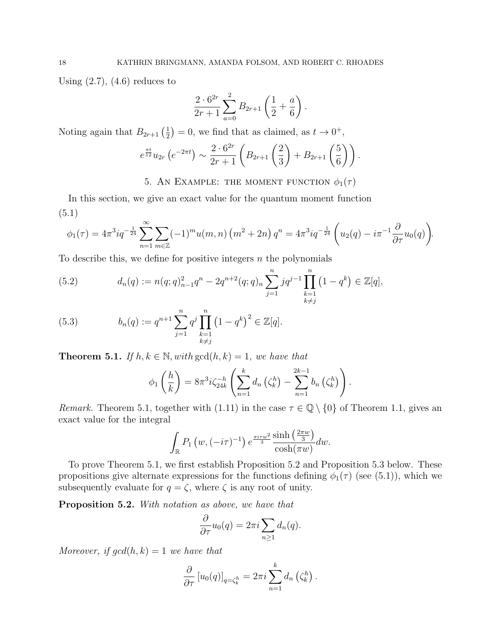Using  $(2.7)$ ,  $(4.6)$  reduces to

$$
\frac{2 \cdot 6^{2r}}{2r+1} \sum_{a=0}^{2} B_{2r+1} \left( \frac{1}{2} + \frac{a}{6} \right).
$$

Noting again that  $B_{2r+1}(\frac{1}{2})$  $(\frac{1}{2}) = 0$ , we find that as claimed, as  $t \to 0^+,$ 

$$
e^{\frac{\pi t}{12}}u_{2r}\left(e^{-2\pi t}\right) \sim \frac{2\cdot 6^{2r}}{2r+1}\left(B_{2r+1}\left(\frac{2}{3}\right)+B_{2r+1}\left(\frac{5}{6}\right)\right).
$$

5. AN EXAMPLE: THE MOMENT FUNCTION  $\phi_1(\tau)$ 

In this section, we give an exact value for the quantum moment function (5.1)

$$
\phi_1(\tau) = 4\pi^3 i q^{-\frac{1}{24}} \sum_{n=1}^{\infty} \sum_{m \in \mathbb{Z}} (-1)^m u(m,n) \left( m^2 + 2n \right) q^n = 4\pi^3 i q^{-\frac{1}{24}} \left( u_2(q) - i \pi^{-1} \frac{\partial}{\partial \tau} u_0(q) \right).
$$

To describe this, we define for positive integers  $n$  the polynomials

(5.2) 
$$
d_n(q) := n(q;q)_{n-1}^2 q^n - 2q^{n+2}(q;q)_n \sum_{j=1}^n j q^{j-1} \prod_{\substack{k=1\\k \neq j}}^n (1-q^k) \in \mathbb{Z}[q],
$$

(5.3) 
$$
b_n(q) := q^{n+1} \sum_{j=1}^n q^j \prod_{\substack{k=1 \ k \neq j}}^n (1 - q^k)^2 \in \mathbb{Z}[q].
$$

**Theorem 5.1.** If  $h, k \in \mathbb{N}$ , with  $gcd(h, k) = 1$ , we have that

$$
\phi_1\left(\frac{h}{k}\right) = 8\pi^3 i \zeta_{24k}^{-h} \left(\sum_{n=1}^k d_n \left(\zeta_k^h\right) - \sum_{n=1}^{2k-1} b_n \left(\zeta_k^h\right)\right).
$$

Remark. Theorem 5.1, together with (1.11) in the case  $\tau \in \mathbb{Q} \setminus \{0\}$  of Theorem 1.1, gives an exact value for the integral

$$
\int_{\mathbb{R}} P_1(w, (-i\tau)^{-1}) e^{\frac{\pi i \tau w^2}{3}} \frac{\sinh\left(\frac{2\pi w}{3}\right)}{\cosh(\pi w)} dw.
$$

To prove Theorem 5.1, we first establish Proposition 5.2 and Proposition 5.3 below. These propositions give alternate expressions for the functions defining  $\phi_1(\tau)$  (see (5.1)), which we subsequently evaluate for  $q = \zeta$ , where  $\zeta$  is any root of unity.

Proposition 5.2. With notation as above, we have that

$$
\frac{\partial}{\partial \tau}u_0(q) = 2\pi i \sum_{n\geq 1} d_n(q).
$$

Moreover, if  $gcd(h, k) = 1$  we have that

$$
\frac{\partial}{\partial \tau} [u_0(q)]_{q=\zeta_k^h} = 2\pi i \sum_{n=1}^k d_n \left( \zeta_k^h \right).
$$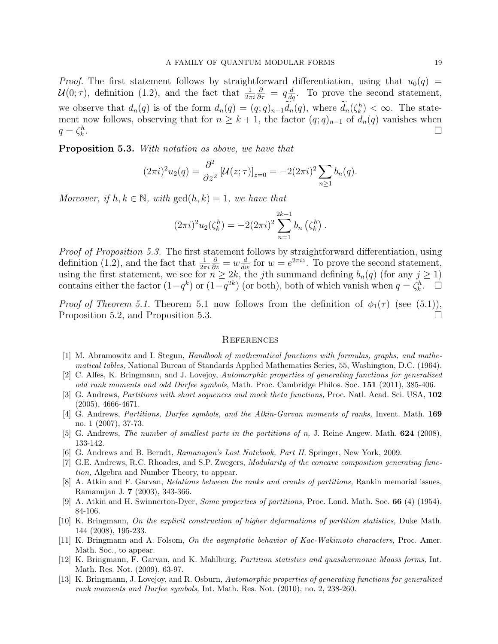*Proof.* The first statement follows by straightforward differentiation, using that  $u_0(q)$  =  $\mathcal{U}(0;\tau)$ , definition (1.2), and the fact that  $\frac{1}{2\pi i}$  $\frac{\partial}{\partial \tau} = q \frac{d}{dq}$ . To prove the second statement, we observe that  $d_n(q)$  is of the form  $d_n(q) = (q;q)_{n-1}d_n(q)$ , where  $d_n(\zeta_k^h) < \infty$ . The statement now follows, observing that for  $n \geq k + 1$ , the factor  $(q; q)_{n-1}$  of  $d_n(q)$  vanishes when  $q=\zeta_k^h$ . В последните при подата на селото на селото на селото на селото на селото на селото на селото на селото на с<br>Селото на селото на селото на селото на селото на селото на селото на селото на селото на селото на селото на

Proposition 5.3. With notation as above, we have that

$$
(2\pi i)^2 u_2(q) = \frac{\partial^2}{\partial z^2} \left[ \mathcal{U}(z;\tau) \right]_{z=0} = -2(2\pi i)^2 \sum_{n \ge 1} b_n(q).
$$

Moreover, if  $h, k \in \mathbb{N}$ , with  $gcd(h, k) = 1$ , we have that

$$
(2\pi i)^{2}u_{2}(\zeta_{k}^{h}) = -2(2\pi i)^{2}\sum_{n=1}^{2k-1}b_{n}(\zeta_{k}^{h}).
$$

Proof of Proposition 5.3. The first statement follows by straightforward differentiation, using definition (1.2), and the fact that  $\frac{1}{2\pi i}$  $\frac{\partial}{\partial z} = w \frac{d}{dw}$  for  $w = e^{2\pi i z}$ . To prove the second statement, using the first statement, we see for  $n \geq 2k$ , the jth summand defining  $b_n(q)$  (for any  $j \geq 1$ ) contains either the factor  $(1-q^k)$  or  $(1-q^{2k})$  (or both), both of which vanish when  $q = \zeta_k^h$ .  $\Box$ 

*Proof of Theorem 5.1.* Theorem 5.1 now follows from the definition of  $\phi_1(\tau)$  (see (5.1)), Proposition 5.2, and Proposition 5.3.

#### **REFERENCES**

- [1] M. Abramowitz and I. Stegun, Handbook of mathematical functions with formulas, graphs, and mathematical tables, National Bureau of Standards Applied Mathematics Series, 55, Washington, D.C. (1964).
- [2] C. Alfes, K. Bringmann, and J. Lovejoy, Automorphic properties of generating functions for generalized odd rank moments and odd Durfee symbols, Math. Proc. Cambridge Philos. Soc. 151 (2011), 385-406.
- [3] G. Andrews, Partitions with short sequences and mock theta functions, Proc. Natl. Acad. Sci. USA, 102 (2005), 4666-4671.
- [4] G. Andrews, Partitions, Durfee symbols, and the Atkin-Garvan moments of ranks, Invent. Math. 169 no. 1 (2007), 37-73.
- [5] G. Andrews, The number of smallest parts in the partitions of n, J. Reine Angew. Math. 624 (2008), 133-142.
- [6] G. Andrews and B. Berndt, Ramanujan's Lost Notebook, Part II. Springer, New York, 2009.
- [7] G.E. Andrews, R.C. Rhoades, and S.P. Zwegers, Modularity of the concave composition generating function, Algebra and Number Theory, to appear.
- [8] A. Atkin and F. Garvan, Relations between the ranks and cranks of partitions, Rankin memorial issues, Ramanujan J. 7 (2003), 343-366.
- [9] A. Atkin and H. Swinnerton-Dyer, Some properties of partitions, Proc. Lond. Math. Soc. 66 (4) (1954), 84-106.
- [10] K. Bringmann, On the explicit construction of higher deformations of partition statistics, Duke Math. 144 (2008), 195-233.
- [11] K. Bringmann and A. Folsom, On the asymptotic behavior of Kac-Wakimoto characters, Proc. Amer. Math. Soc., to appear.
- [12] K. Bringmann, F. Garvan, and K. Mahlburg, Partition statistics and quasiharmonic Maass forms, Int. Math. Res. Not. (2009), 63-97.
- [13] K. Bringmann, J. Lovejoy, and R. Osburn, Automorphic properties of generating functions for generalized rank moments and Durfee symbols, Int. Math. Res. Not. (2010), no. 2, 238-260.